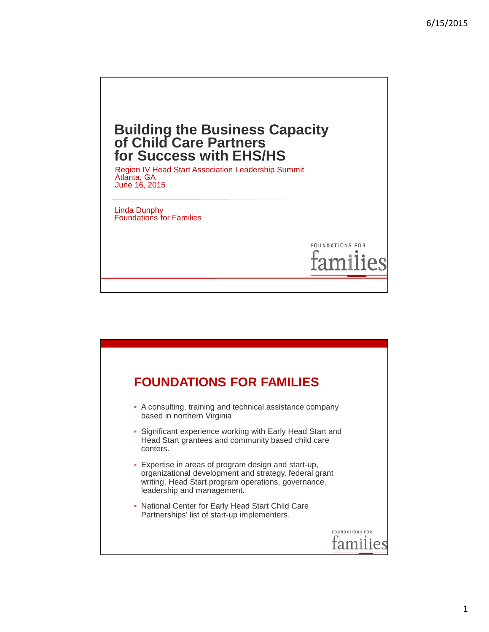## **Building the Business Capacity of Child Care Partners for Success with EHS/HS**

Region IV Head Start Association Leadership Summit Atlanta, GA June 16, 2015

Linda Dunphy Foundations for Families



FOUNDATIONS FOR

families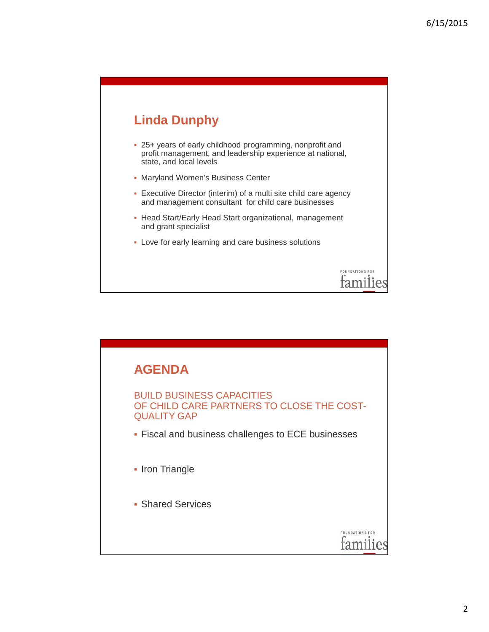## **Linda Dunphy**

25+ years of early childhood programming, nonprofit and profit management, and leadership experience at national, state, and local levels

Maryland Women's Business Center

Executive Director (interim) of a multi site child care agency and management consultant for child care businesses

Head Start/Early Head Start organizational, management and grant specialist

> FOUNDATIONS FOR families

Love for early learning and care business solutions

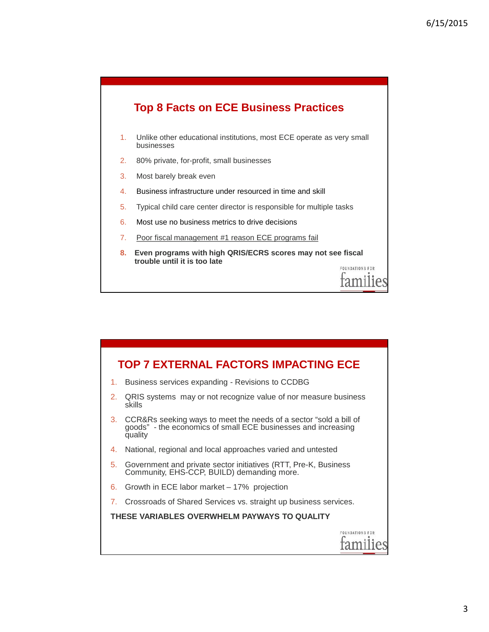

- 1. Unlike other educational institutions, most ECE operate as very small businesses
- 2. 80% private, for-profit, small businesses
- 3. Most barely break even
- 4. Business infrastructure under resourced in time and skill
- 5. Typical child care center director is responsible for multiple tasks
- 6. Most use no business metrics to drive decisions
- 7. Poor fiscal management #1 reason ECE programs fail
- **8. Even programs with high QRIS/ECRS scores may not see fiscal trouble until it is too late** FOUNDATIONS FOR

families

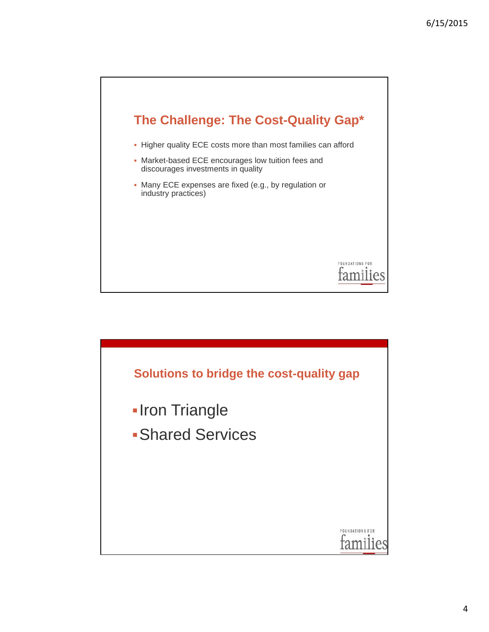

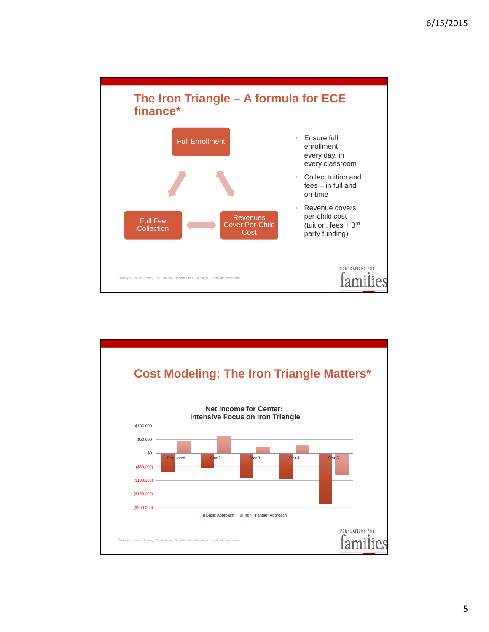

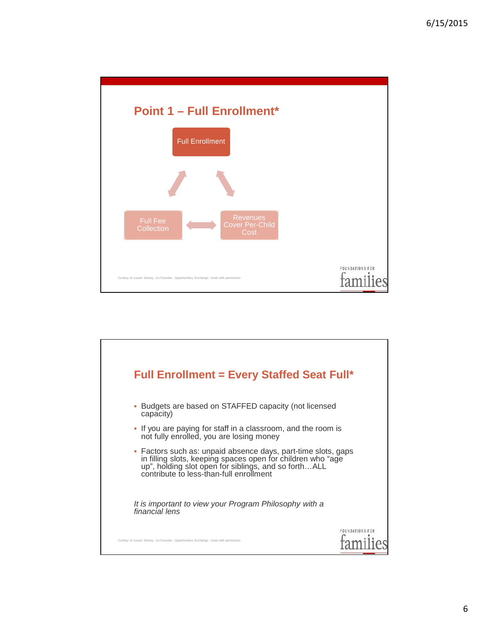

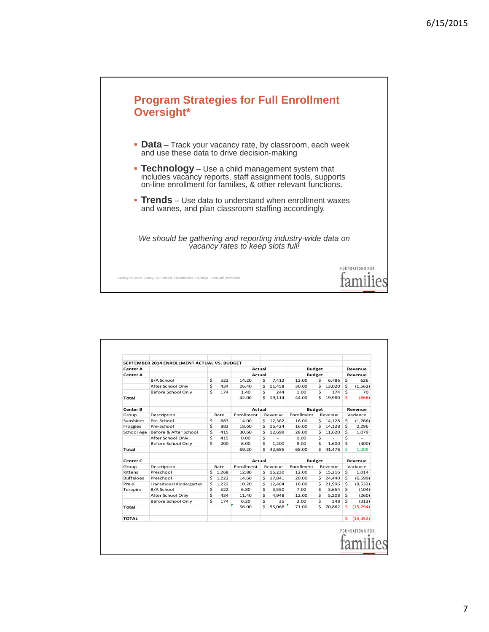

| <b>Center A</b>  |                                  |           |       | Actual               |         |                      | <b>Budget</b>     |         |                |          | Revenue                                                            |
|------------------|----------------------------------|-----------|-------|----------------------|---------|----------------------|-------------------|---------|----------------|----------|--------------------------------------------------------------------|
| <b>Center A</b>  |                                  |           |       | Actual               |         |                      | <b>Budget</b>     |         |                | Revenue  |                                                                    |
|                  | B/A School                       | \$<br>522 |       | 14.20<br>\$<br>7,412 |         | \$<br>6,786<br>13.00 |                   |         | \$<br>626      |          |                                                                    |
|                  | After School Only                | \$        | 434   | 26.40                | \$      | 11,458               | 30.00             | \$      | 13,020         | \$       | (1, 562)                                                           |
|                  | Before School Only               | Ś         | 174   | 1.40                 | Ś       | 244                  | 1.00              | Ś.      | 174            | Ś        | 70                                                                 |
| Total            |                                  |           |       | 42.00                | Ś       | 19,114               | 44.00             | Ś.      | 19,980         | Ś        | (866)                                                              |
| <b>Center B</b>  |                                  |           |       | Actual               |         | <b>Budget</b>        |                   |         | Revenue        |          |                                                                    |
| Group            | Description                      | Rate      |       | Enrollment           | Revenue |                      | Enrollment        | Revenue |                | Variance |                                                                    |
| Sunshines        | Pre-School                       | \$        | 883   | 14.00                | Ś.      | 12,362               | 16.00             | Ś.      | 14,128         | \$       | (1,766)                                                            |
| Froggies         | Pre-School                       | \$        | 883   | 18.60                | \$      | 16,424               | 16.00             | \$      | 14,128         | \$       | 2,296                                                              |
| School Age       | Before & After School            | \$        | 415   | 30.60                | Ś       | 12,699               | 28.00             | Ś.      | 11,620         | Ś.       | 1,079                                                              |
|                  | After School Only                | \$        | 415   | 0.00                 | \$      |                      | 0.00              | Ś.      | $\overline{a}$ | \$       | ÷.                                                                 |
|                  | Before School Only               | Ś         | 200   | 6.00                 | Ś       | 1.200                | 8.00              | Ś.      | 1.600          | Ś.       | (400)                                                              |
| Total            |                                  |           |       | 69.20                | Ś       | 42,685               | 68.00             | Ś.      | 41,476         | Ś.       | 1,209                                                              |
|                  |                                  |           |       | Actual               |         | <b>Budget</b>        |                   | Revenue |                |          |                                                                    |
| Center C         |                                  |           |       |                      |         |                      |                   |         |                |          | Variance                                                           |
| Group            | Description                      |           | Rate  | Enrollment           |         | Revenue              | <b>Enrollment</b> |         | Revenue        |          |                                                                    |
| Kittens          | Preschool                        | Ś.        | 1,268 | 12.80                | Ś       | 16,230               | 12.00             | Ś.      | 15,216         | \$       |                                                                    |
| <b>Buffaloes</b> | Preschool                        | \$        | 1,222 | 14.60                | Ś       | 17,841               | 20.00             | Ś.      | 24,440         | \$       |                                                                    |
| Pre-K            | <b>Transitional Kindergarten</b> | \$        | 1,222 | 10.20                | Ś       | 12,464               | 18.00             | Ś.      | 21,996         | Ś.       |                                                                    |
| Terapins         | <b>B/A School</b>                | \$        | 522   | 6.80                 | Ś       | 3.550                | 7.00              | Ś.      | 3,654          | Ś.       |                                                                    |
|                  | After School Only                | Ś         | 434   | 11.40                | Ś       | 4,948                | 12.00             | Ś.      | 5,208          | \$       |                                                                    |
|                  | Before School Only               | \$        | 174   | 0.20                 | \$      | 35                   | 2.00              | \$      | 348            | Ś.       |                                                                    |
| Total            |                                  |           |       | 56.00                | Ś       | 55,068               | 71.00             | Ś.      | 70,862         | Ś.       | 1.014<br>(6,599)<br>(9,532)<br>(104)<br>(260)<br>(313)<br>(15,794) |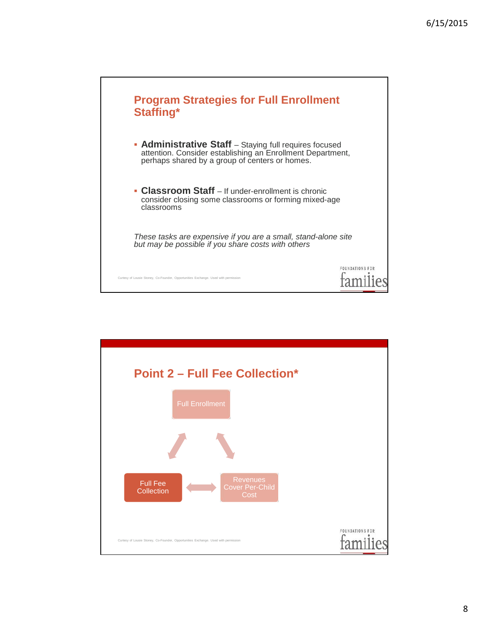

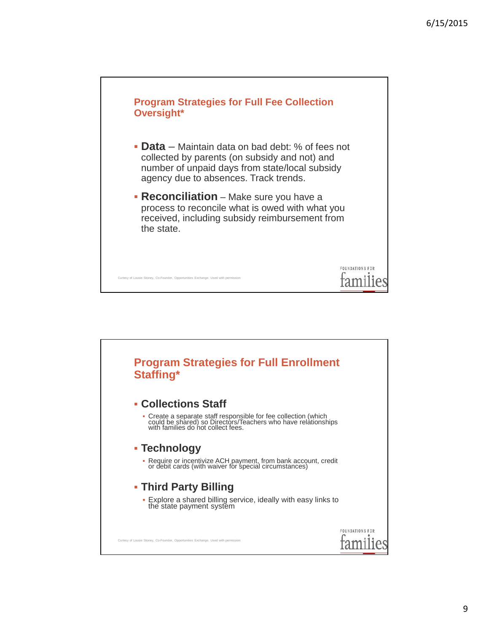

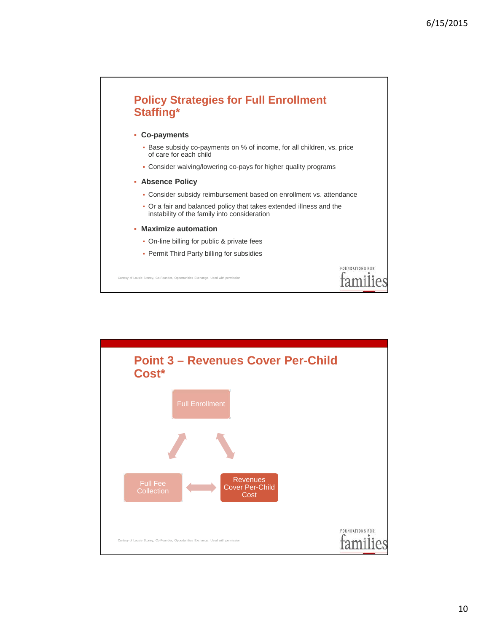

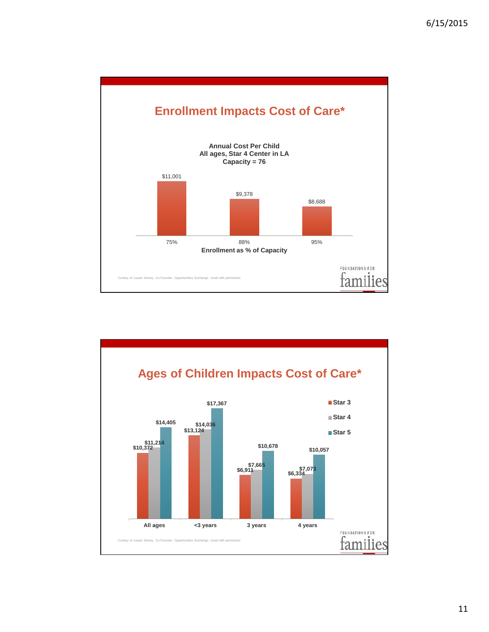

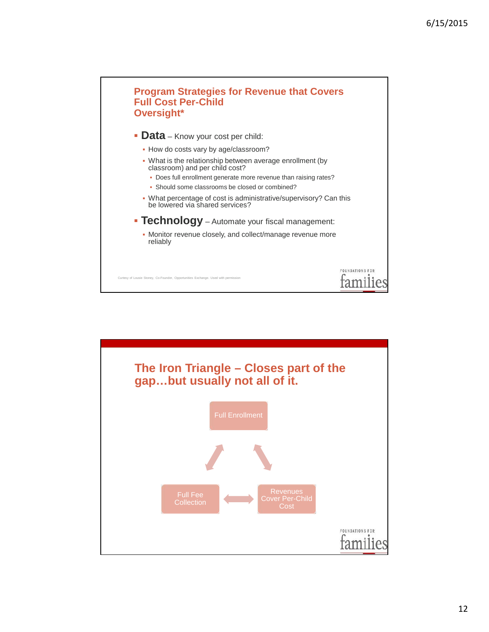

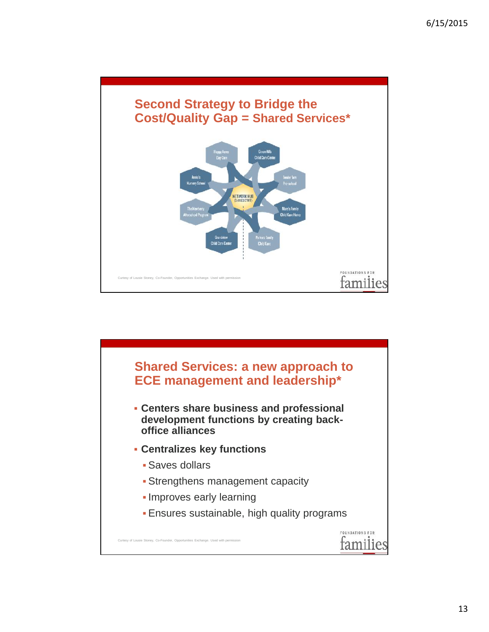



13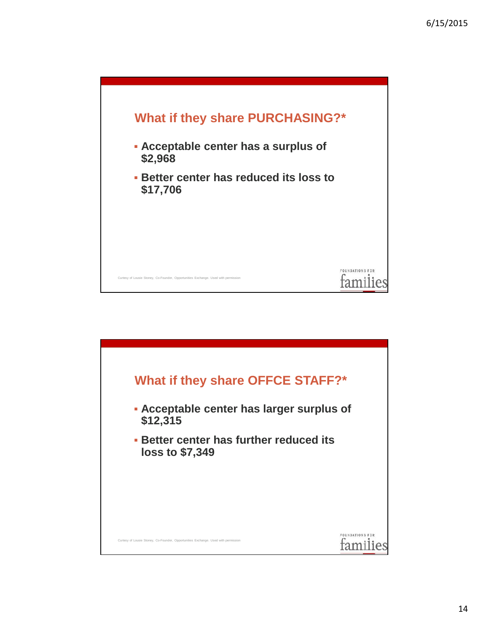

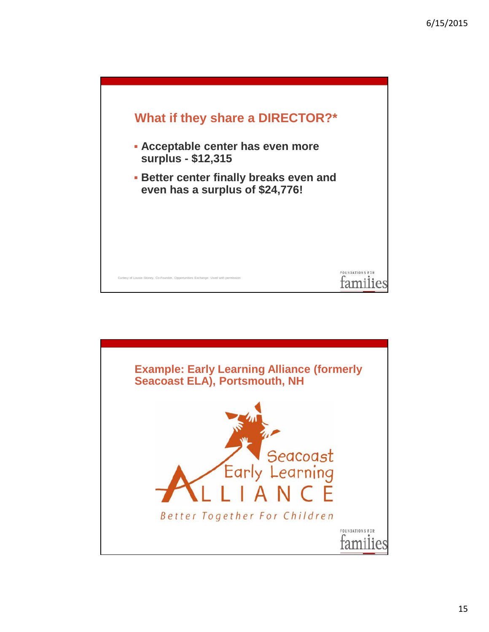

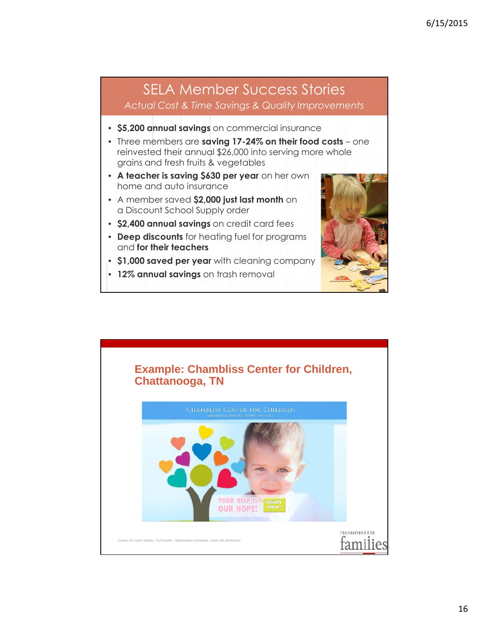## SELA Member Success Stories

*Actual Cost & Time Savings & Quality Improvements*

- **\$5,200 annual savings** on commercial insurance
- Three members are **saving 17-24% on their food costs** one reinvested their annual \$26,000 into serving more whole grains and fresh fruits & vegetables
- **A teacher is saving \$630 per year** on her own home and auto insurance
- A member saved **\$2,000 just last month** on a Discount School Supply order
- **\$2,400 annual savings** on credit card fees
- **Deep discounts** for heating fuel for programs and **for their teachers**
- **\$1,000 saved per year** with cleaning company
- **12% annual savings** on trash removal



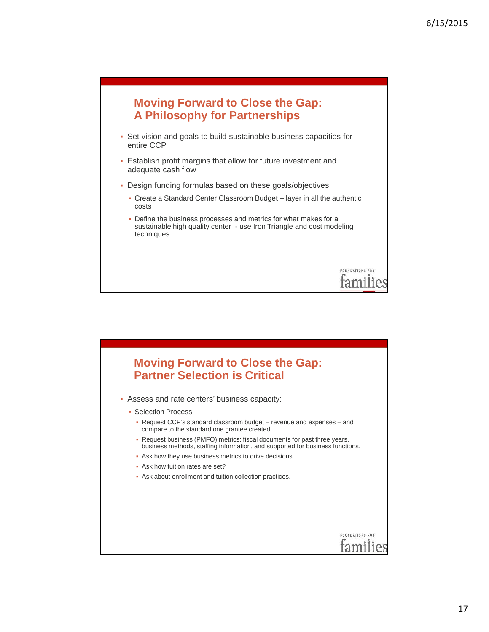

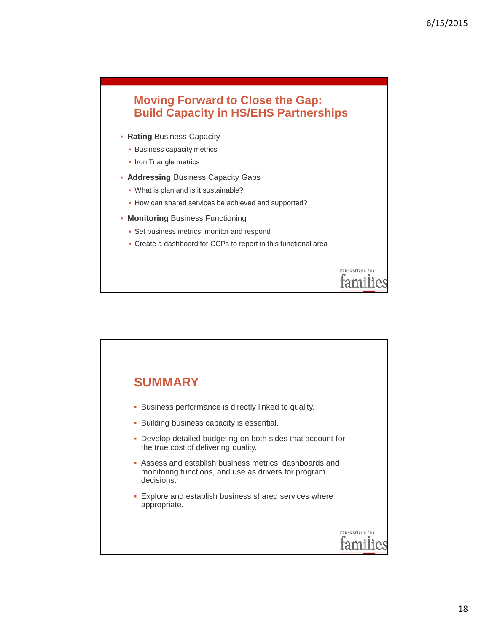